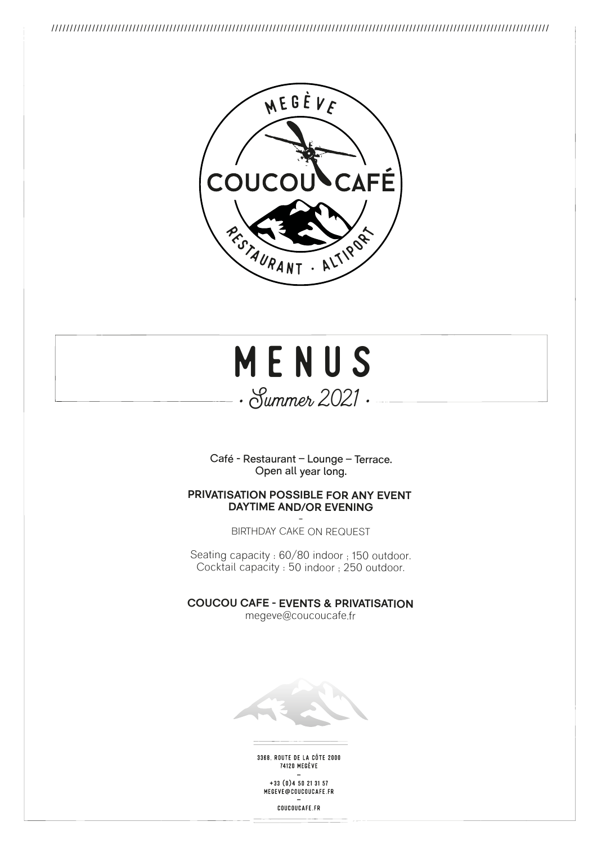



Café - Restaurant – Lounge – Terrace. Open all year long.

### **PRIVATISATION POSSIBLE FOR ANY EVENT DAYTIME AND/OR EVENING**

-BIRTHDAY CAKE ON REQUEST

Seating capacity : 60/80 indoor ; 150 outdoor. Cocktail capacity : 50 indoor ; 250 outdoor.

**COUCOU CAFE - EVENTS & PRIVATISATION** megeve@coucoucafe.fr



3368, ROUTE DE LA CÔTE 2000 **74120 MEGÈVE** 

 $+33(0)450213157$ MEGEVE@COUCOUCAFE.FR

COUCOUCAFE.FR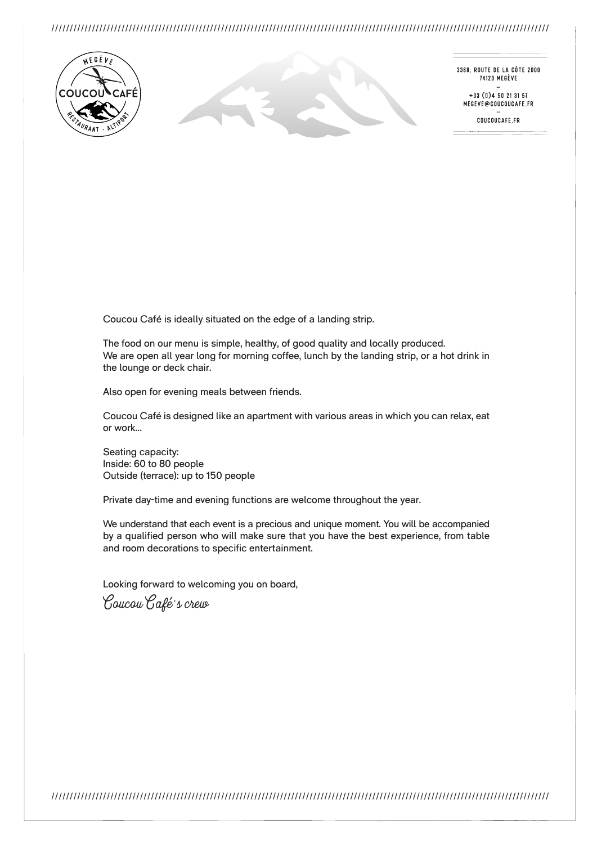

3368. ROUTE DE LA CÔTE 2000 74120 MEGÈVE

 $+33(0)450213157$ MEGEVE@COUCOUCAFE.FR

COUCOUCAFE.FR

Coucou Café is ideally situated on the edge of a landing strip.

The food on our menu is simple, healthy, of good quality and locally produced. We are open all year long for morning coffee, lunch by the landing strip, or a hot drink in the lounge or deck chair.

Also open for evening meals between friends.

Coucou Café is designed like an apartment with various areas in which you can relax, eat or work…

Seating capacity: Inside: 60 to 80 people Outside (terrace): up to 150 people

Private day-time and evening functions are welcome throughout the year.

We understand that each event is a precious and unique moment. You will be accompanied by a qualified person who will make sure that you have the best experience, from table and room decorations to specific entertainment.

Looking forward to welcoming you on board,

Coucou Café's crew

///////////////////////////////////////////////////////////////////////////////////////////////////////////////////////////////////////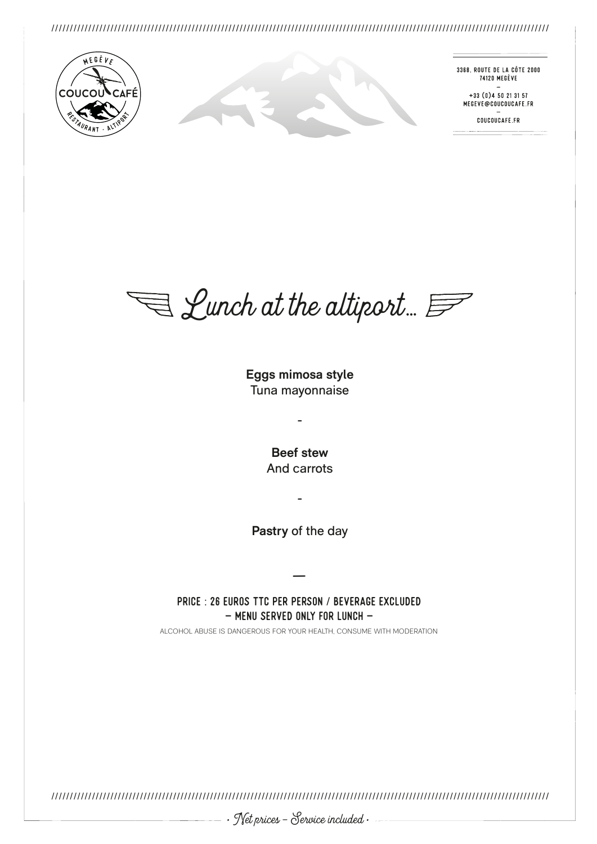

3368. ROUTE DE LA CÔTE 2000 74120 MEGÈVE

 $+33(0)450213157$ MEGEVE@COUCOUCAFE.FR

COUCOUCAFE.FR

 $\bigtriangledown$  Lunch at the altiport...  $\mathcal{F}$ 

**Eggs mimosa style** Tuna mayonnaise

-

**Beef stew** And carrots

**Pastry** of the day

-

— Price : 26 euros TTC per person / beverage excluded  $-$  MENU SERVED ONLY FOR LUNCH  $-$ 

ALCOHOL ABUSE IS DANGEROUS FOR YOUR HEALTH, CONSUME WITH MODERATION

///////////////////////////////////////////////////////////////////////////////////////////////////////////////////////////////////////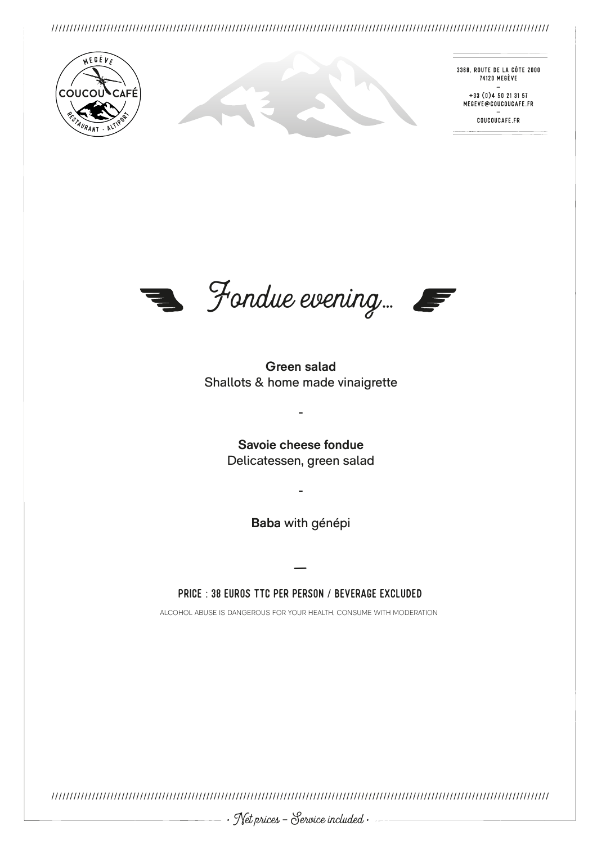

3368. ROUTE DE LA CÔTE 2000 74120 MEGÈVE

 $+33(0)450213157$ MEGEVE@COUCOUCAFE.FR

COUCOUCAFE.FR



**Green salad** Shallots & home made vinaigrette

> **Savoie cheese fondue** Delicatessen, green salad

-

**Baba** with génépi

-

— Price : 38 euros TTC per person / beverage excluded

ALCOHOL ABUSE IS DANGEROUS FOR YOUR HEALTH, CONSUME WITH MODERATION

///////////////////////////////////////////////////////////////////////////////////////////////////////////////////////////////////////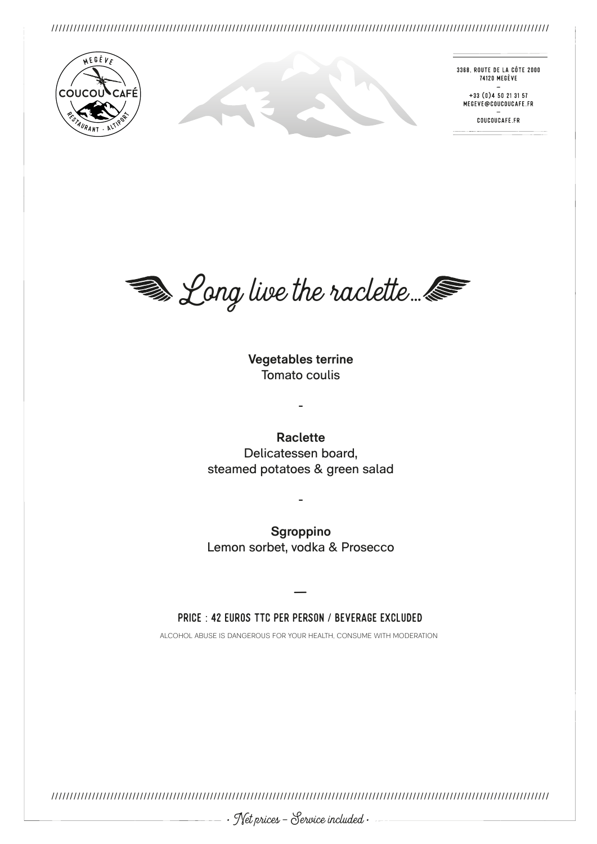

3368. ROUTE DE LA CÔTE 2000 74120 MEGÈVE

 $+33(0)450213157$ MEGEVE@COUCOUCAFE.FR

COUCOUCAFE.FR



**Vegetables terrine**  Tomato coulis

-

**Raclette**  Delicatessen board, steamed potatoes & green salad

**Sgroppino** Lemon sorbet, vodka & Prosecco

-

### — Price : 42 euros TTC per person / beverage excluded

ALCOHOL ABUSE IS DANGEROUS FOR YOUR HEALTH, CONSUME WITH MODERATION

///////////////////////////////////////////////////////////////////////////////////////////////////////////////////////////////////////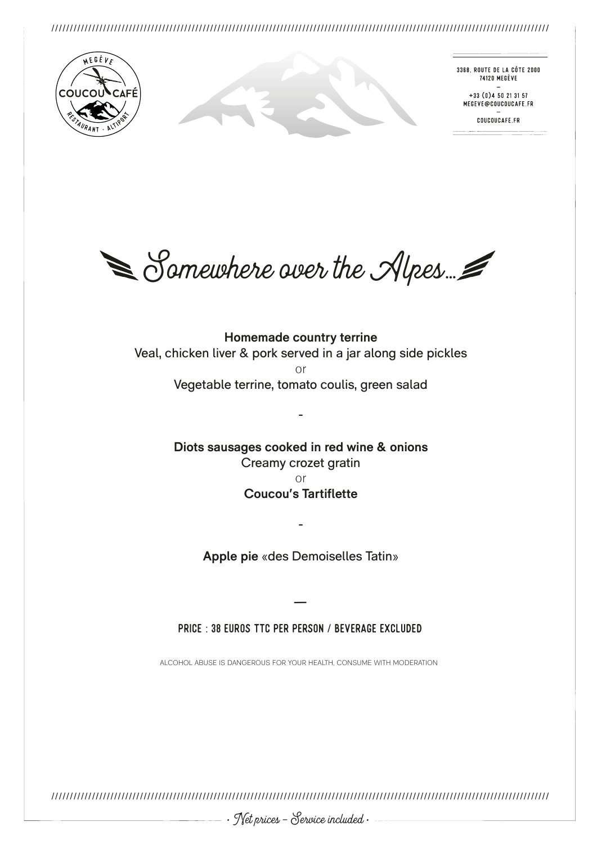

3368. ROUTE DE LA CÔTE 2000 74120 MEGÈVE

 $+33(0)450213157$ MEGEVE@COUCOUCAFE.FR

COUCOUCAFE.FR

 $\leq$  Somewhere over the Alpes.

**Homemade country terrine**  Veal, chicken liver & pork served in a jar along side pickles or Vegetable terrine, tomato coulis, green salad

> **Diots sausages cooked in red wine & onions** Creamy crozet gratin or

-

### **Coucou's Tartiflette**

**Apple pie** «des Demoiselles Tatin»

-

— Price : 38 euros TTC per person / beverage excluded

ALCOHOL ABUSE IS DANGEROUS FOR YOUR HEALTH, CONSUME WITH MODERATION

///////////////////////////////////////////////////////////////////////////////////////////////////////////////////////////////////////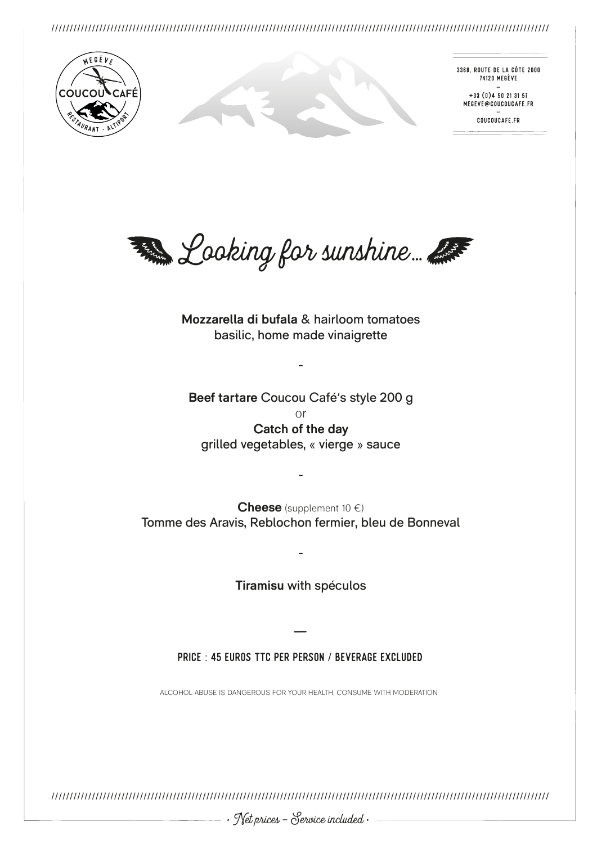

3368. ROUTE DE LA CÔTE 2000 74120 MEGÈVE

 $+33(0)450213157$ MEGEVE@COUCOUCAFE.FR

COUCOUCAFE.FR



**Mozzarella di bufala** & hairloom tomatoes basilic, home made vinaigrette

-

**Beef tartare** Coucou Café's style 200 g or **Catch of the day** grilled vegetables, « vierge » sauce

**Cheese** (supplement 10 €) Tomme des Aravis, Reblochon fermier, bleu de Bonneval

-

**Tiramisu** with spéculos

-

— Price : 45 euros TTC per person / beverage excluded

ALCOHOL ABUSE IS DANGEROUS FOR YOUR HEALTH, CONSUME WITH MODERATION

///////////////////////////////////////////////////////////////////////////////////////////////////////////////////////////////////////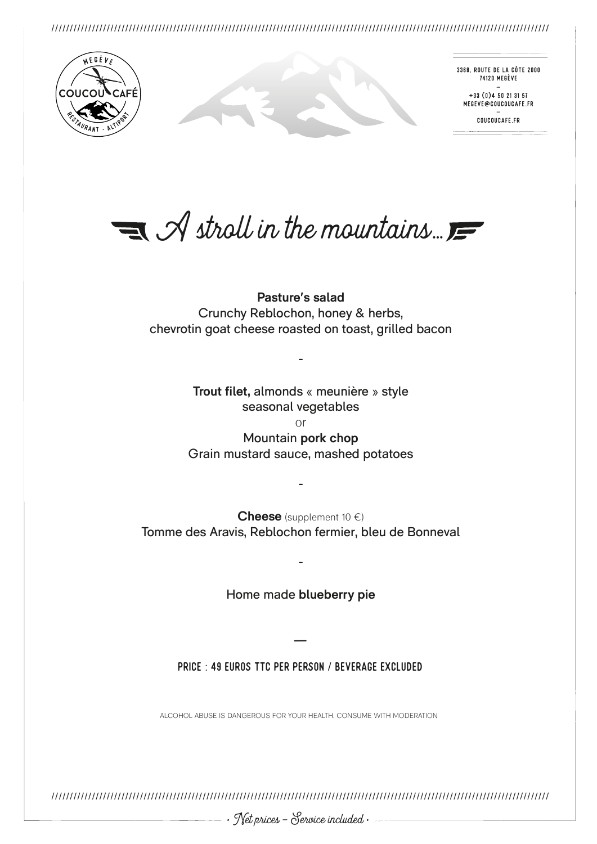

3368. ROUTE DE LA CÔTE 2000 74120 MEGÈVE

 $+33(0)450213157$ MEGEVE@COUCOUCAFE.FR

COUCOUCAFE.FR

 $\equiv$   $\mathcal A$  stroll in the mountains.

**Pasture's salad** Crunchy Reblochon, honey & herbs, chevrotin goat cheese roasted on toast, grilled bacon

> **Trout filet,** almonds « meunière » style seasonal vegetables or

-

Mountain **pork chop** Grain mustard sauce, mashed potatoes

**Cheese** (supplement 10 €) Tomme des Aravis, Reblochon fermier, bleu de Bonneval

-

Home made **blueberry pie**

-

— Price : 49 euros TTC per person / beverage excluded

ALCOHOL ABUSE IS DANGEROUS FOR YOUR HEALTH, CONSUME WITH MODERATION

///////////////////////////////////////////////////////////////////////////////////////////////////////////////////////////////////////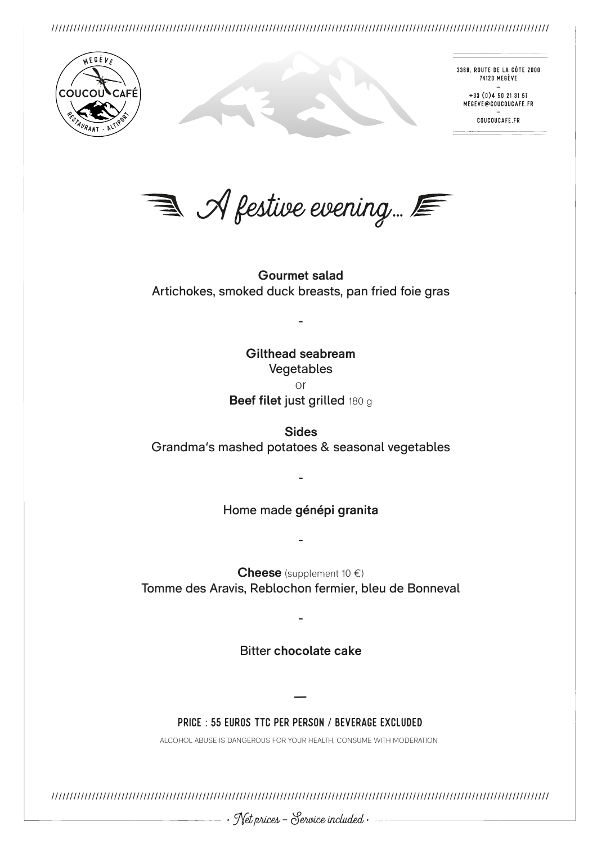

3368. ROUTE DE LA CÔTE 2000 74120 MEGÈVE

 $+33(0)450213157$ MEGEVE@COUCOUCAFE.FR

COUCOUCAFE.FR

 $\equiv$   $\mathcal A$  festive evening.  $\equiv$ 

**Gourmet salad** Artichokes, smoked duck breasts, pan fried foie gras

-

**Gilthead seabream** Vegetables or **Beef filet** just grilled 180 g

**Sides** Grandma's mashed potatoes & seasonal vegetables

Home made **génépi granita**

-

-

**Cheese** (supplement 10 €) Tomme des Aravis, Reblochon fermier, bleu de Bonneval

Bitter **chocolate cake**

-

— Price : 55 euros TTC per person / beverage excluded

ALCOHOL ABUSE IS DANGEROUS FOR YOUR HEALTH, CONSUME WITH MODERATION

///////////////////////////////////////////////////////////////////////////////////////////////////////////////////////////////////////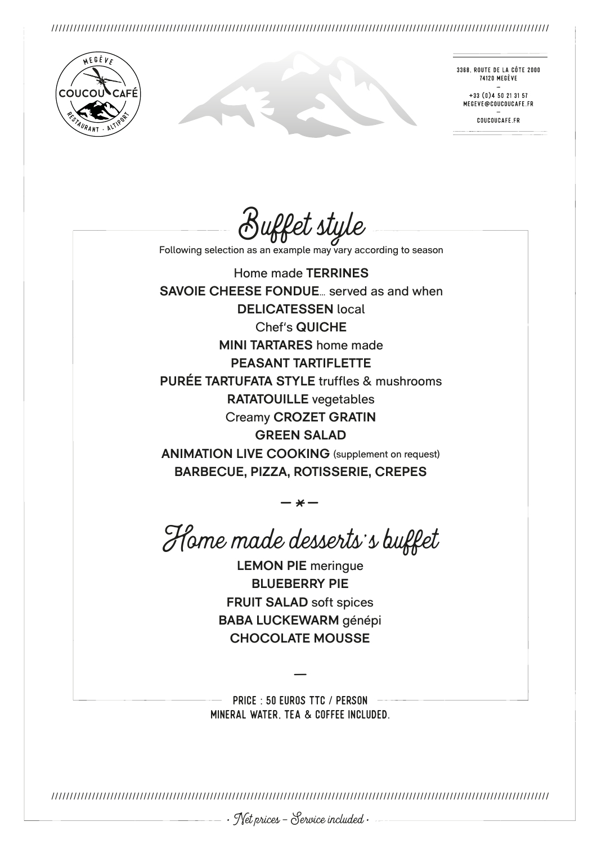

3368. ROUTE DE LA CÔTE 2000 74120 MEGÈVE

 $+33(0)450213157$ MEGEVE@COUCOUCAFE.FR

COUCOUCAFE.FR

Buffet style

Following selection as an example may vary according to season

Home made **TERRINES SAVOIE CHEESE FONDUE**… served as and when **DELICATESSEN** local Chef's **QUICHE MINI TARTARES** home made **PEASANT TARTIFLETTE PURÉE TARTUFATA STYLE** truffles & mushrooms **RATATOUILLE** vegetables Creamy **CROZET GRATIN GREEN SALAD ANIMATION LIVE COOKING** (supplement on request) **BARBECUE, PIZZA, ROTISSERIE, CREPES**

 $-\frac{1}{\sqrt{2}}$ Home made desserts's buffet

**LEMON PIE** meringue **BLUEBERRY PIE FRUIT SALAD** soft spices **BABA LUCKEWARM** génépi **CHOCOLATE MOUSSE**

— PriCE : 50 euros TTC / person MINERAL WATER, TEA & COFFEE INCLUDED.

///////////////////////////////////////////////////////////////////////////////////////////////////////////////////////////////////////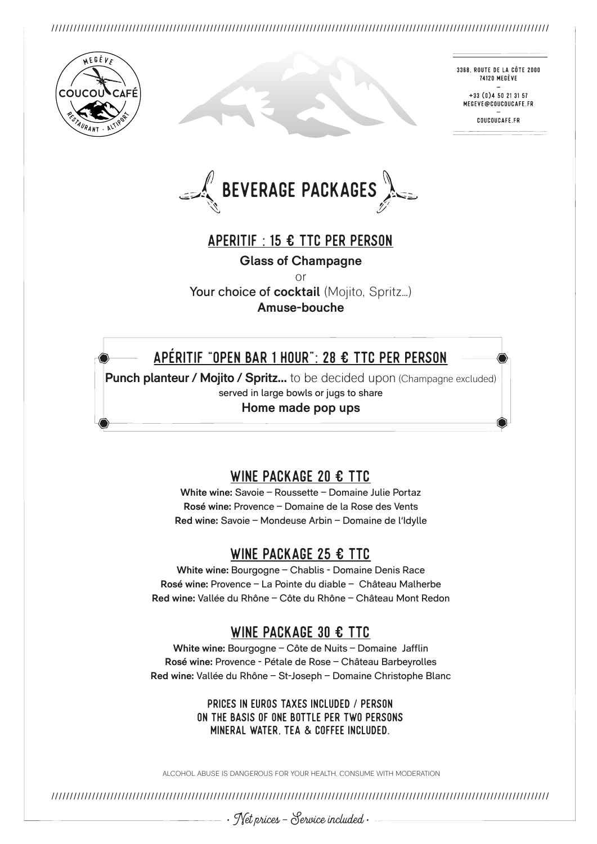

3368, ROUTE DE LA CÔTE 2000 74120 MEGÈVE

+33 (0) 4 50 21 31 57 MEGEVE@COUCOUCAFE.FR

COUCOUCAFE ER

 $\mathbb{E}$  BEVERAGE PACKAGES

# Aperitif : 15 € TTC per person

**Glass of Champagne**

or

Your choice of **cocktail** (Mojito, Spritz...) **Amuse-bouche**

# Apéritif "open bar 1 hOUR": 28 € TTC per person

**Punch planteur / Mojito / Spritz...** to be decided upon (Champagne excluded) served in large bowls or jugs to share **Home made pop ups**

# WINE PACKAGE 20 € TTC

**White wine:** Savoie – Roussette – Domaine Julie Portaz **Rosé wine:** Provence – Domaine de la Rose des Vents **Red wine:** Savoie – Mondeuse Arbin – Domaine de l'Idylle

# WINE PACKAGE 25 € TTC

**White wine:** Bourgogne – Chablis - Domaine Denis Race **Rosé wine:** Provence – La Pointe du diable – Château Malherbe **Red wine:** Vallée du Rhône – Côte du Rhône – Château Mont Redon

## WINE PACKAGE 30 € TTC

**White wine:** Bourgogne – Côte de Nuits – Domaine Jafflin **Rosé wine:** Provence - Pétale de Rose – Château Barbeyrolles **Red wine:** Vallée du Rhône – St-Joseph – Domaine Christophe Blanc

> PRICES IN EUROS TAXES INCLUDED / PERSON ON THE BASIS OF ONE BOTTLE PER TWO PERSONS MINERAL WATER, TEA & COFFEE INCLUDED.

ALCOHOL ABUSE IS DANGEROUS FOR YOUR HEALTH, CONSUME WITH MODERATION

///////////////////////////////////////////////////////////////////////////////////////////////////////////////////////////////////////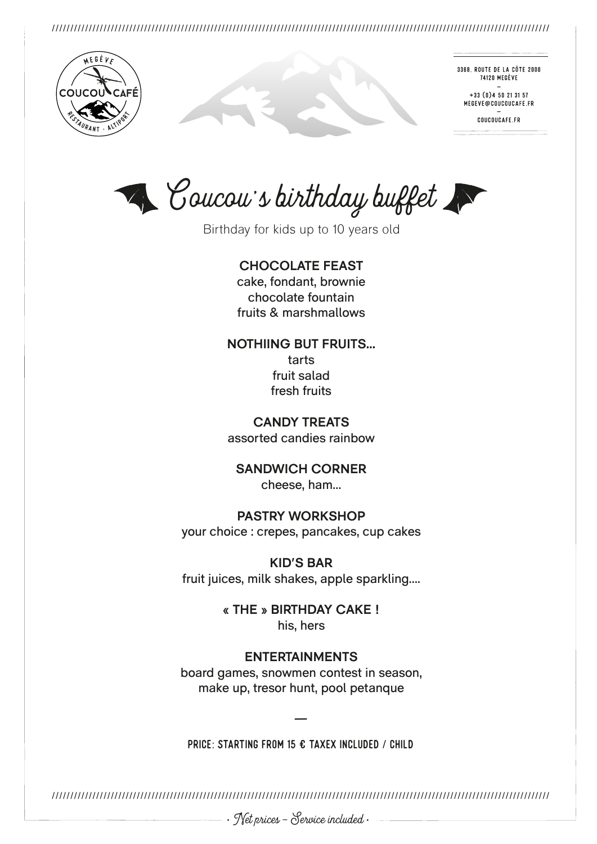

3368, ROUTE DE LA CÔTE 2000 74120 MEGÈVE

 $+33(0)450213157$ MEGEVE@COUCOUCAFE.FR

COUCOUCAFE.FR

Coucou's birthday buffet

Birthday for kids up to 10 years old

**CHOCOLATE FEAST**

cake, fondant, brownie chocolate fountain fruits & marshmallows

**NOTHIING BUT FRUITS…** tarts fruit salad fresh fruits

**CANDY TREATS** assorted candies rainbow

**SANDWICH CORNER** cheese, ham…

**PASTRY WORKSHOP** your choice : crepes, pancakes, cup cakes

**KID'S BAR** fruit juices, milk shakes, apple sparkling….

> **« THE » BIRTHDAY CAKE !** his, hers

## **ENTERTAINMENTS**

board games, snowmen contest in season, make up, tresor hunt, pool petanque

PRICE: STARTING FROM 15 € TAXEX INCLUDED / CHILD

///////////////////////////////////////////////////////////////////////////////////////////////////////////////////////////////////////